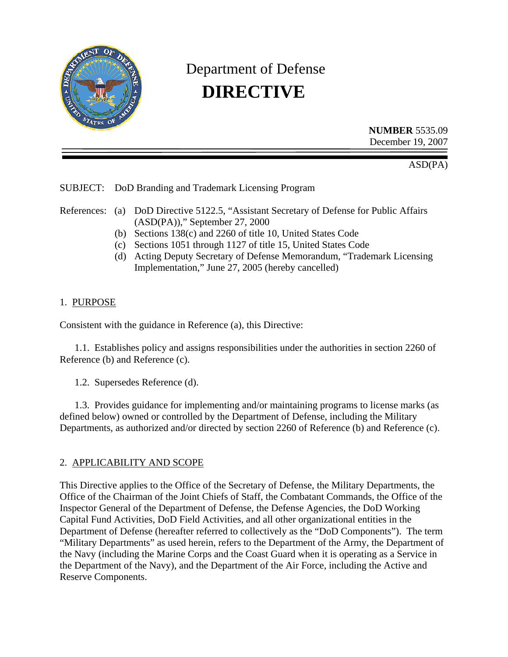

# Department of Defense **DIRECTIVE**

**NUMBER** 5535.09 December 19, 2007

ASD(PA)

SUBJECT: DoD Branding and Trademark Licensing Program

References: (a) DoD Directive 5122.5, "Assistant Secretary of Defense for Public Affairs (ASD(PA))," September 27, 2000

- (b) Sections 138(c) and 2260 of title 10, United States Code
- (c) Sections 1051 through 1127 of title 15, United States Code
- (d) Acting Deputy Secretary of Defense Memorandum, "Trademark Licensing Implementation," June 27, 2005 (hereby cancelled)

## 1. PURPOSE

Consistent with the guidance in Reference (a), this Directive:

1.1. Establishes policy and assigns responsibilities under the authorities in section 2260 of Reference (b) and Reference (c).

1.2. Supersedes Reference (d).

1.3. Provides guidance for implementing and/or maintaining programs to license marks (as defined below) owned or controlled by the Department of Defense, including the Military Departments, as authorized and/or directed by section 2260 of Reference (b) and Reference (c).

# 2. APPLICABILITY AND SCOPE

This Directive applies to the Office of the Secretary of Defense, the Military Departments, the Office of the Chairman of the Joint Chiefs of Staff, the Combatant Commands, the Office of the Inspector General of the Department of Defense, the Defense Agencies, the DoD Working Capital Fund Activities, DoD Field Activities, and all other organizational entities in the Department of Defense (hereafter referred to collectively as the "DoD Components"). The term "Military Departments" as used herein, refers to the Department of the Army, the Department of the Navy (including the Marine Corps and the Coast Guard when it is operating as a Service in the Department of the Navy), and the Department of the Air Force, including the Active and Reserve Components.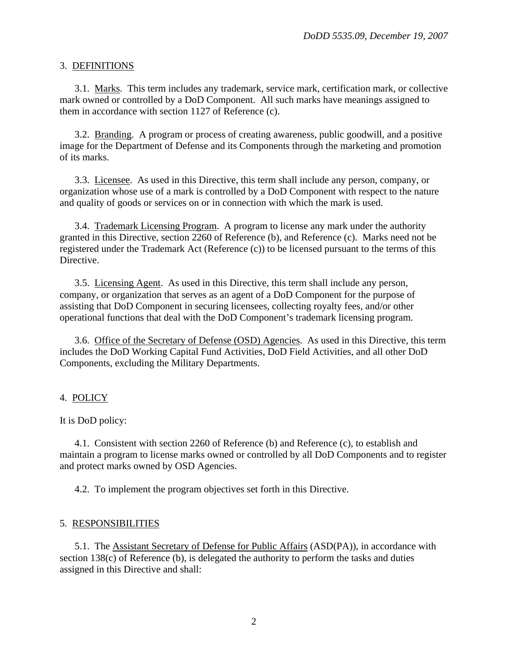## 3. DEFINITIONS

3.1. Marks. This term includes any trademark, service mark, certification mark, or collective mark owned or controlled by a DoD Component. All such marks have meanings assigned to them in accordance with section 1127 of Reference (c).

3.2. Branding. A program or process of creating awareness, public goodwill, and a positive image for the Department of Defense and its Components through the marketing and promotion of its marks.

3.3. Licensee. As used in this Directive, this term shall include any person, company, or organization whose use of a mark is controlled by a DoD Component with respect to the nature and quality of goods or services on or in connection with which the mark is used.

3.4. Trademark Licensing Program. A program to license any mark under the authority granted in this Directive, section 2260 of Reference (b), and Reference (c). Marks need not be registered under the Trademark Act (Reference (c)) to be licensed pursuant to the terms of this Directive.

3.5. Licensing Agent. As used in this Directive, this term shall include any person, company, or organization that serves as an agent of a DoD Component for the purpose of assisting that DoD Component in securing licensees, collecting royalty fees, and/or other operational functions that deal with the DoD Component's trademark licensing program.

3.6. Office of the Secretary of Defense (OSD) Agencies. As used in this Directive, this term includes the DoD Working Capital Fund Activities, DoD Field Activities, and all other DoD Components, excluding the Military Departments.

#### 4. POLICY

It is DoD policy:

 4.1. Consistent with section 2260 of Reference (b) and Reference (c), to establish and maintain a program to license marks owned or controlled by all DoD Components and to register and protect marks owned by OSD Agencies.

4.2. To implement the program objectives set forth in this Directive.

#### 5. RESPONSIBILITIES

5.1. The Assistant Secretary of Defense for Public Affairs (ASD(PA)), in accordance with section 138(c) of Reference (b), is delegated the authority to perform the tasks and duties assigned in this Directive and shall: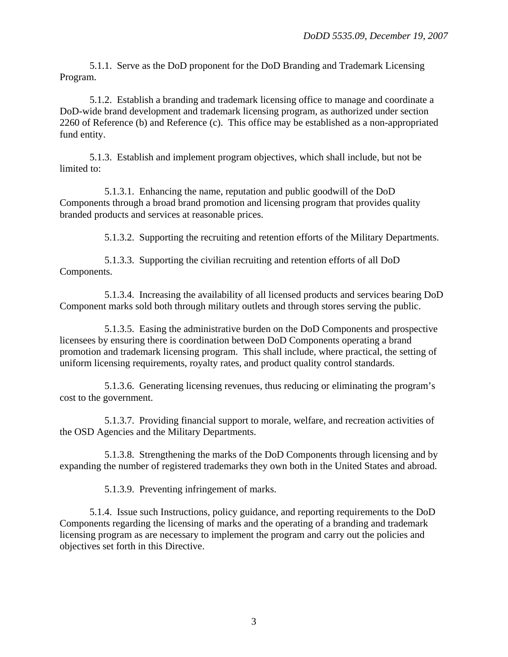5.1.1. Serve as the DoD proponent for the DoD Branding and Trademark Licensing Program.

5.1.2. Establish a branding and trademark licensing office to manage and coordinate a DoD-wide brand development and trademark licensing program, as authorized under section 2260 of Reference (b) and Reference (c). This office may be established as a non-appropriated fund entity.

5.1.3. Establish and implement program objectives, which shall include, but not be limited to:

5.1.3.1. Enhancing the name, reputation and public goodwill of the DoD Components through a broad brand promotion and licensing program that provides quality branded products and services at reasonable prices.

5.1.3.2. Supporting the recruiting and retention efforts of the Military Departments.

5.1.3.3. Supporting the civilian recruiting and retention efforts of all DoD Components.

5.1.3.4. Increasing the availability of all licensed products and services bearing DoD Component marks sold both through military outlets and through stores serving the public.

5.1.3.5. Easing the administrative burden on the DoD Components and prospective licensees by ensuring there is coordination between DoD Components operating a brand promotion and trademark licensing program. This shall include, where practical, the setting of uniform licensing requirements, royalty rates, and product quality control standards.

5.1.3.6. Generating licensing revenues, thus reducing or eliminating the program's cost to the government.

5.1.3.7. Providing financial support to morale, welfare, and recreation activities of the OSD Agencies and the Military Departments.

5.1.3.8. Strengthening the marks of the DoD Components through licensing and by expanding the number of registered trademarks they own both in the United States and abroad.

5.1.3.9. Preventing infringement of marks.

5.1.4. Issue such Instructions, policy guidance, and reporting requirements to the DoD Components regarding the licensing of marks and the operating of a branding and trademark licensing program as are necessary to implement the program and carry out the policies and objectives set forth in this Directive.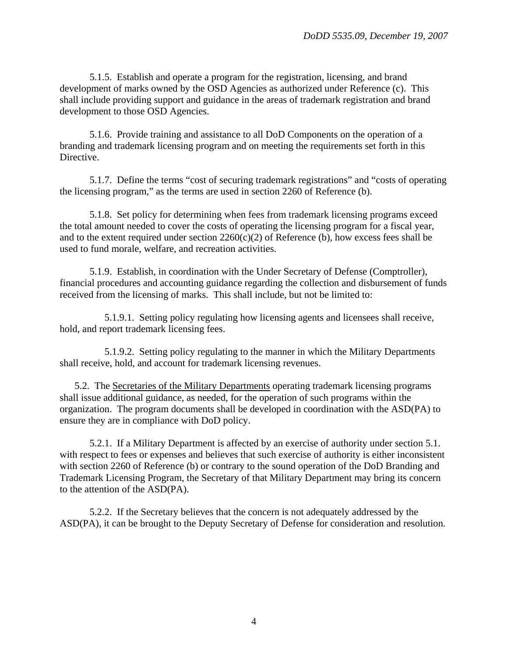5.1.5. Establish and operate a program for the registration, licensing, and brand development of marks owned by the OSD Agencies as authorized under Reference (c). This shall include providing support and guidance in the areas of trademark registration and brand development to those OSD Agencies.

5.1.6. Provide training and assistance to all DoD Components on the operation of a branding and trademark licensing program and on meeting the requirements set forth in this Directive.

5.1.7. Define the terms "cost of securing trademark registrations" and "costs of operating the licensing program," as the terms are used in section 2260 of Reference (b).

5.1.8. Set policy for determining when fees from trademark licensing programs exceed the total amount needed to cover the costs of operating the licensing program for a fiscal year, and to the extent required under section 2260(c)(2) of Reference (b), how excess fees shall be used to fund morale, welfare, and recreation activities.

5.1.9. Establish, in coordination with the Under Secretary of Defense (Comptroller), financial procedures and accounting guidance regarding the collection and disbursement of funds received from the licensing of marks. This shall include, but not be limited to:

5.1.9.1. Setting policy regulating how licensing agents and licensees shall receive, hold, and report trademark licensing fees.

5.1.9.2. Setting policy regulating to the manner in which the Military Departments shall receive, hold, and account for trademark licensing revenues.

5.2. The Secretaries of the Military Departments operating trademark licensing programs shall issue additional guidance, as needed, for the operation of such programs within the organization. The program documents shall be developed in coordination with the ASD(PA) to ensure they are in compliance with DoD policy.

5.2.1. If a Military Department is affected by an exercise of authority under section 5.1. with respect to fees or expenses and believes that such exercise of authority is either inconsistent with section 2260 of Reference (b) or contrary to the sound operation of the DoD Branding and Trademark Licensing Program, the Secretary of that Military Department may bring its concern to the attention of the ASD(PA).

5.2.2. If the Secretary believes that the concern is not adequately addressed by the ASD(PA), it can be brought to the Deputy Secretary of Defense for consideration and resolution.